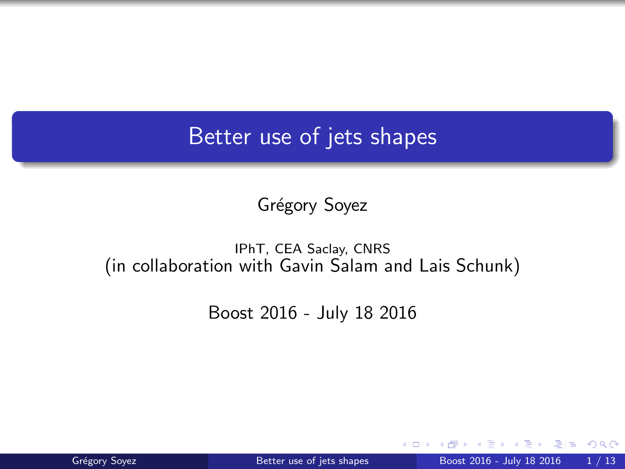### <span id="page-0-0"></span>Better use of jets shapes

Grégory Soyez

#### IPhT, CEA Saclay, CNRS (in collaboration with Gavin Salam and Lais Schunk)

Boost 2016 - July 18 2016

 $298$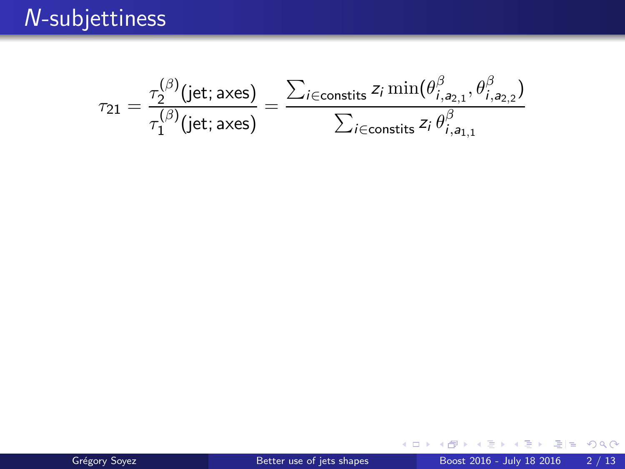<span id="page-1-0"></span>
$$
\tau_{21} = \frac{\tau_2^{(\beta)}(\text{jet}; \text{axes})}{\tau_1^{(\beta)}(\text{jet}; \text{axes})} = \frac{\sum_{i \in \text{constits}} z_i \min(\theta_{i, a_{2,1}}^{\beta}, \theta_{i, a_{2,2}}^{\beta})}{\sum_{i \in \text{constits}} z_i \theta_{i, a_{1,1}}^{\beta}}
$$

4. 0. 3. × 重目 のへぐ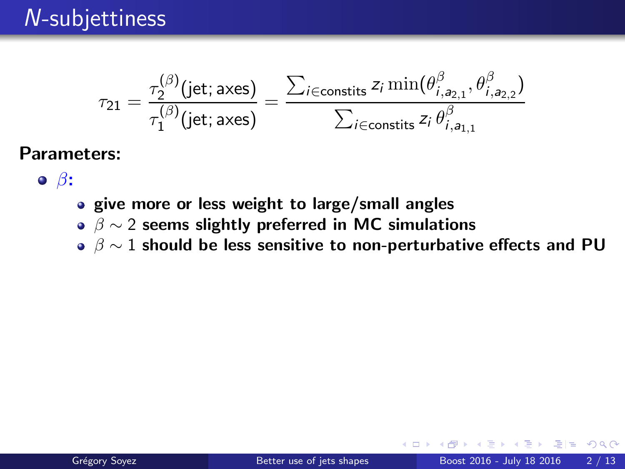$$
\tau_{21}=\frac{\tau_2^{(\beta)}(\text{jet};\text{axes})}{\tau_1^{(\beta)}(\text{jet};\text{axes})}=\frac{\sum_{i\in\text{constits}}z_i\min(\theta^{\beta}_{i,\mathsf{a}_{2,1}},\theta^{\beta}_{i,\mathsf{a}_{2,2}})}{\sum_{i\in\text{constits}}z_i\,\theta^{\beta}_{i,\mathsf{a}_{1,1}}}
$$

- $\bullet$   $\beta$ :
	- give more or less weight to large/small angles
	- $\beta \sim 2$  seems slightly preferred in MC simulations
	- $\beta \sim 1$  should be less sensitive to non-perturbative effects and PU

 $E$   $\Omega$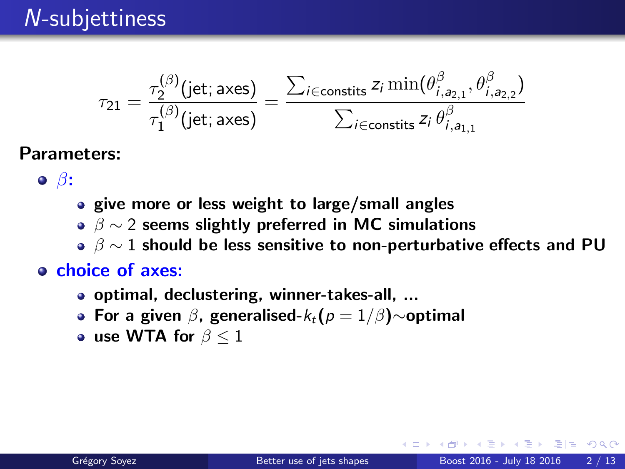<span id="page-3-0"></span>
$$
\tau_{21} = \frac{\tau_2^{(\beta)}(\text{jet}; \text{axes})}{\tau_1^{(\beta)}(\text{jet}; \text{axes})} = \frac{\sum_{i \in \text{constits}} z_i \min(\theta^{\beta}_{i, a_{2,1}}, \theta^{\beta}_{i, a_{2,2}})}{\sum_{i \in \text{constits}} z_i \theta^{\beta}_{i, a_{1,1}}}
$$

- $\bullet$   $\beta$ :
- give more or less weight to large/small angles
- $\beta \sim 2$  seems slightly preferred in MC simulations
- $\beta \sim 1$  should be less sensitive to non-perturbative effects and PU

#### o choice of axes:

- optimal, declustering, winner-takes-all, ...
- For a given  $\beta$ , generalised- $k_t(p = 1/\beta)$ ∼optimal
- use WTA for  $\beta \leq 1$

 $E|E$   $\Omega$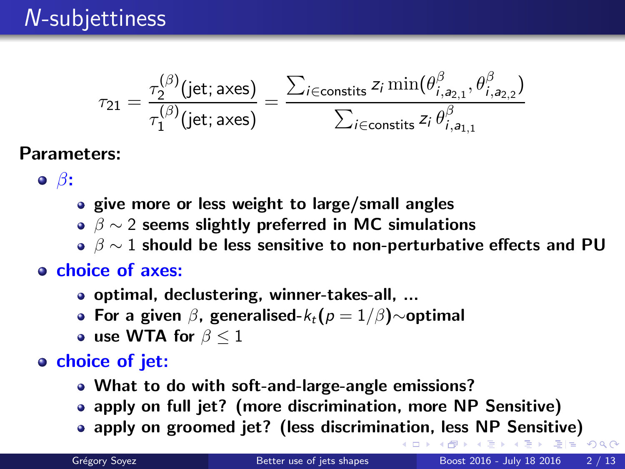<span id="page-4-0"></span>
$$
\tau_{21} = \frac{\tau_2^{(\beta)}(\text{jet}; \text{axes})}{\tau_1^{(\beta)}(\text{jet}; \text{axes})} = \frac{\sum_{i \in \text{constits}} z_i \min(\theta^{\beta}_{i, a_{2,1}}, \theta^{\beta}_{i, a_{2,2}})}{\sum_{i \in \text{constits}} z_i \theta^{\beta}_{i, a_{1,1}}}
$$

- $\bullet$   $\beta$ :
- give more or less weight to large/small angles
- $\beta \sim 2$  seems slightly preferred in MC simulations
- $\beta \sim 1$  should be less sensitive to non-perturbative effects and PU

#### o choice of axes:

- optimal, declustering, winner-takes-all, ...
- For a given  $\beta$ , generalised- $k_t(p = 1/\beta)$ ∼optimal
- use WTA for  $\beta < 1$

#### o choice of jet:

- What to do with soft-and-large-angle emissions?
- apply on full jet? (more discrimination, more NP Sensitive)
- apply on groomed jet? (less discrimin[atio](#page-3-0)[n,](#page-5-0)[l](#page-0-0)[e](#page-1-0)[s](#page-6-0)s [N](#page-0-0)[P](#page-38-0) [Se](#page-0-0)[n](#page-38-0)[si](#page-39-0)[t](#page-0-0)[iv](#page-38-0)[e\)](#page-48-0)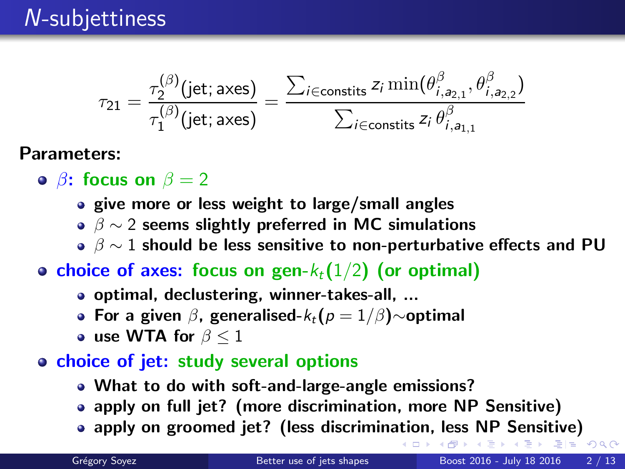<span id="page-5-0"></span>
$$
\tau_{21} = \frac{\tau_2^{(\beta)}(\text{jet}; \text{axes})}{\tau_1^{(\beta)}(\text{jet}; \text{axes})} = \frac{\sum_{i \in \text{constits}} z_i \min(\theta^{\beta}_{i, a_{2,1}}, \theta^{\beta}_{i, a_{2,2}})}{\sum_{i \in \text{constits}} z_i \theta^{\beta}_{i, a_{1,1}}}
$$

- $\theta$ **: focus on**  $\beta = 2$ 
	- give more or less weight to large/small angles
	- $\beta \sim 2$  seems slightly preferred in MC simulations
	- $\beta \sim 1$  should be less sensitive to non-perturbative effects and PU
- choice of axes: focus on gen- $k_t(1/2)$  (or optimal)
	- optimal, declustering, winner-takes-all, ...
	- For a given  $\beta$ , generalised- $k_t(p = 1/\beta)$ ~optimal
	- use WTA for  $\beta \leq 1$
- o choice of jet: study several options
	- What to do with soft-and-large-angle emissions?
	- apply on full jet? (more discrimination, more NP Sensitive)
	- apply on groomed jet? (less discrimin[atio](#page-4-0)[n,](#page-6-0)[l](#page-0-0)[e](#page-1-0)[s](#page-6-0)s [N](#page-0-0)[P](#page-38-0) [Se](#page-0-0)[n](#page-38-0)[si](#page-39-0)[t](#page-0-0)[iv](#page-38-0)[e\)](#page-48-0)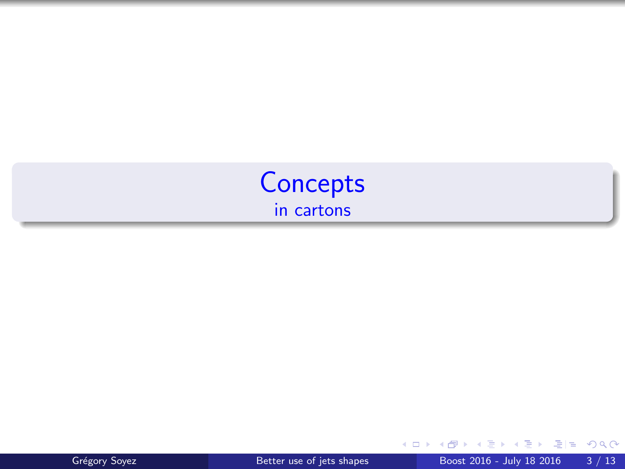<span id="page-6-0"></span>



4 日下

重目 のんぴ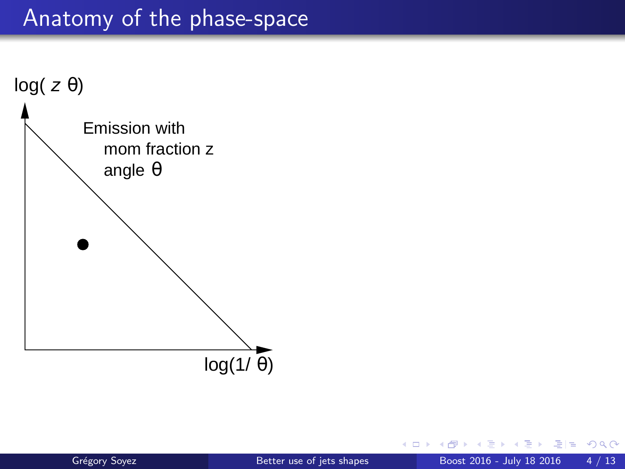

4 **ED** 

重目 のへぐ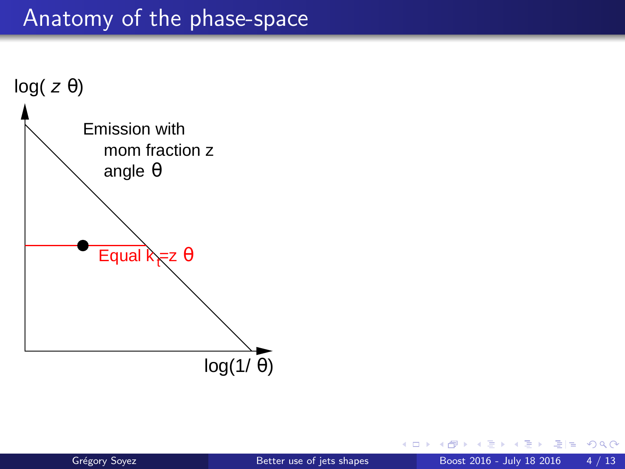

4 **ED** 

 $2980$ 

in the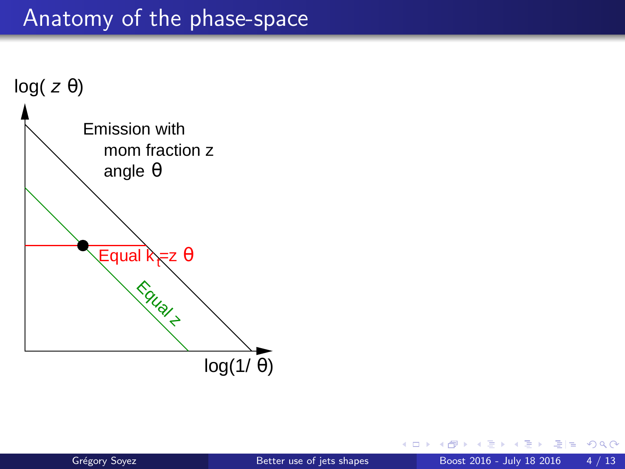

4 **ED** 

重目 のへぐ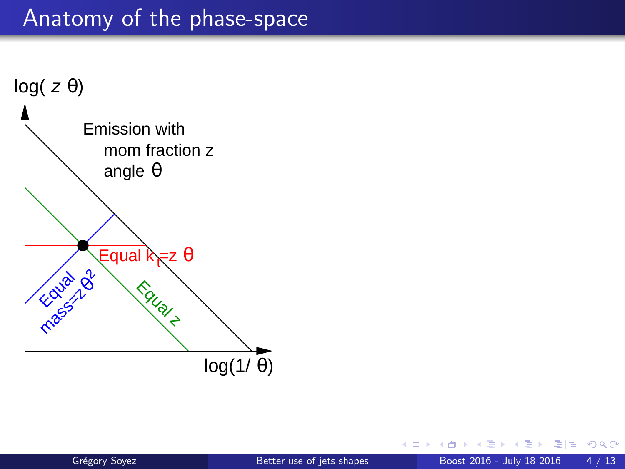

4 **ED** 

 $2980$ 

그녀님..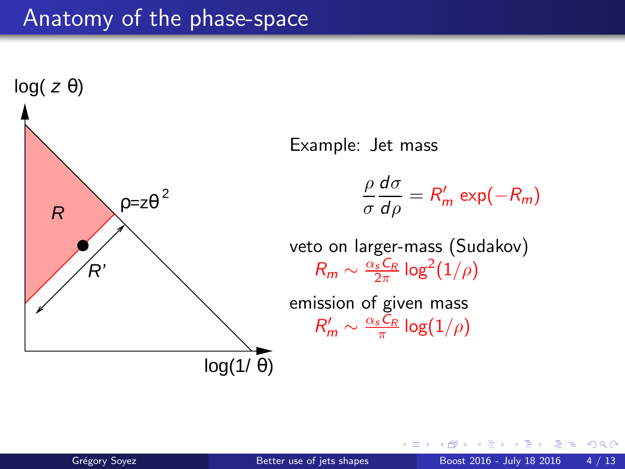

 $\Omega$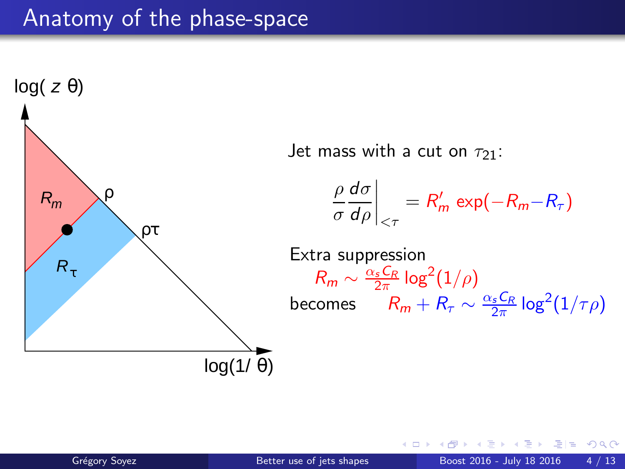![](_page_12_Figure_1.jpeg)

通信 めなべ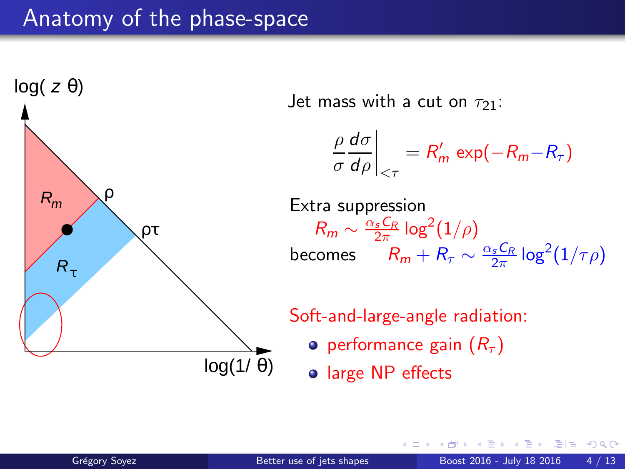![](_page_13_Figure_1.jpeg)

通信 めなべ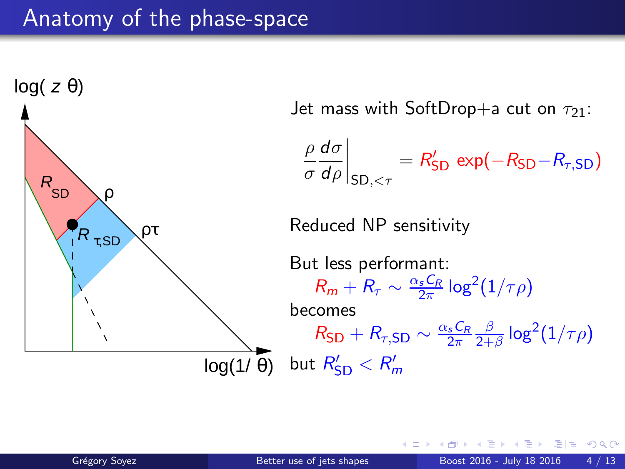![](_page_14_Figure_1.jpeg)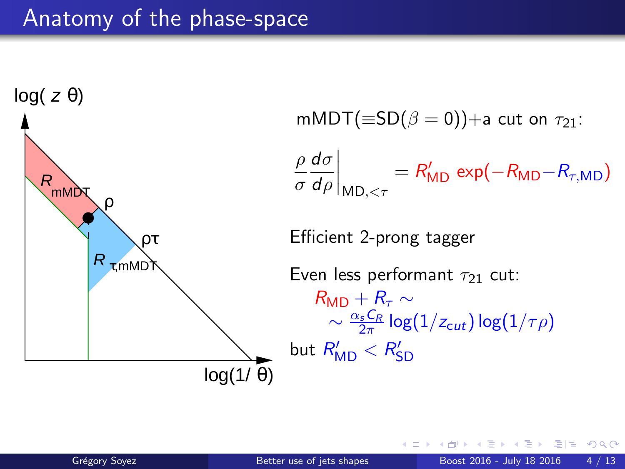![](_page_15_Figure_1.jpeg)

通信 めなべ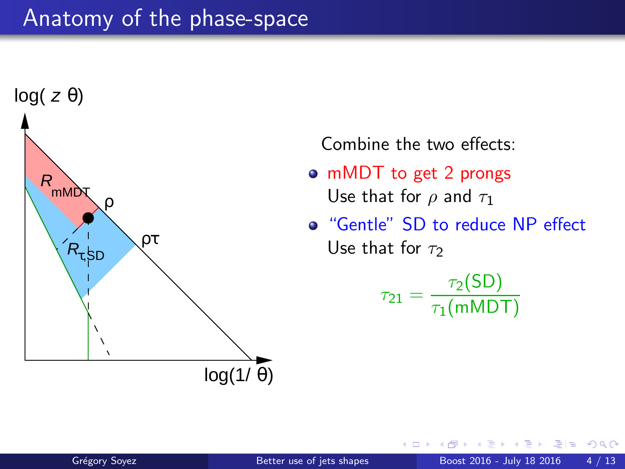![](_page_16_Figure_1.jpeg)

Combine the two effects:

- mMDT to get 2 prongs Use that for  $\rho$  and  $\tau_1$
- "Gentle" SD to reduce NP effect Use that for  $\tau_2$

$$
\tau_{21} = \frac{\tau_2(SD)}{\tau_1(mMDT)}
$$

 $QQQ$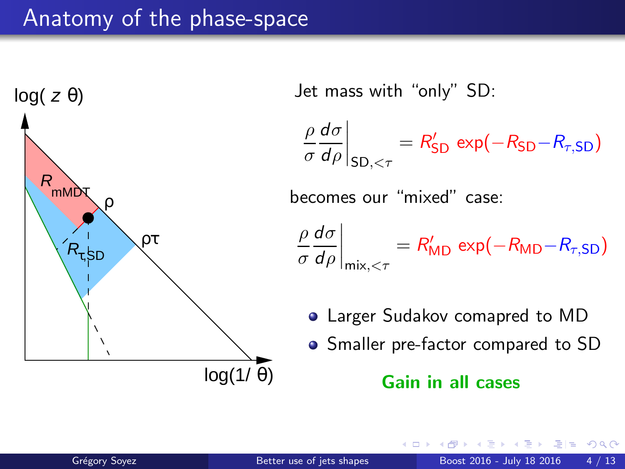![](_page_17_Figure_1.jpeg)

Jet mass with "only" SD:

ρ σ dσ dρ  $\Big|_{\mathsf{SD}, < \tau}$  $= R_{SD}' \exp(-R_{SD}-R_{\tau,SD})$ 

becomes our "mixed" case:

$$
\left. \frac{\rho}{\sigma} \frac{d\sigma}{d\rho} \right|_{\text{mix}, < \tau} = R'_{\text{MD}} \exp(-R_{\text{MD}} - R_{\tau, \text{SD}})
$$

Larger Sudakov comapred to MD

• Smaller pre-factor compared to SD

#### Gain in all cases

通信 めなべ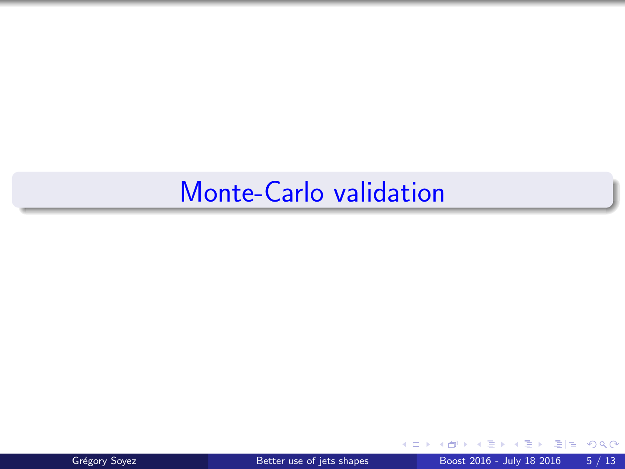![](_page_18_Picture_1.jpeg)

 $\leftarrow$ 

 $299$ 

÷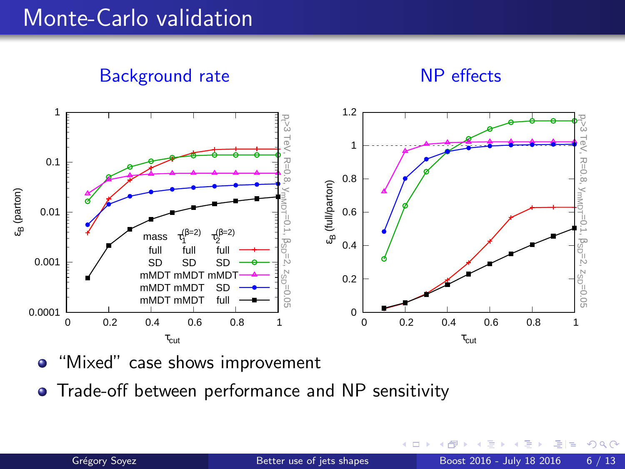Background rate

![](_page_19_Figure_2.jpeg)

![](_page_19_Figure_3.jpeg)

• "Mixed" case shows improvement

**•** Trade-off between performance and NP sensitivity

 $290$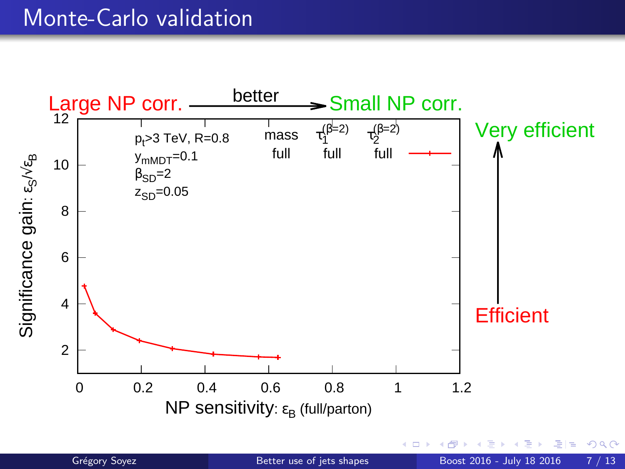![](_page_20_Figure_1.jpeg)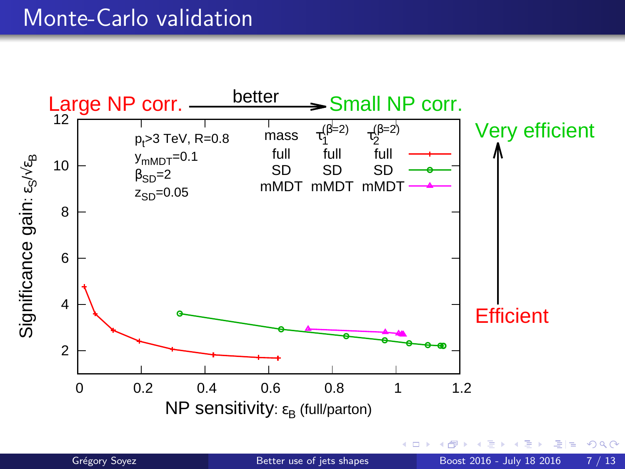![](_page_21_Figure_1.jpeg)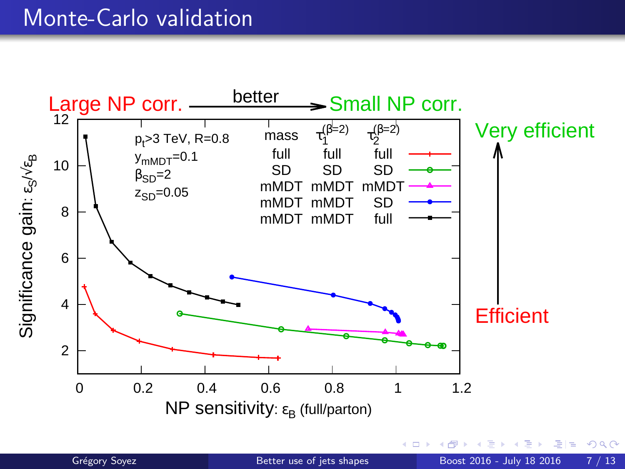![](_page_22_Figure_1.jpeg)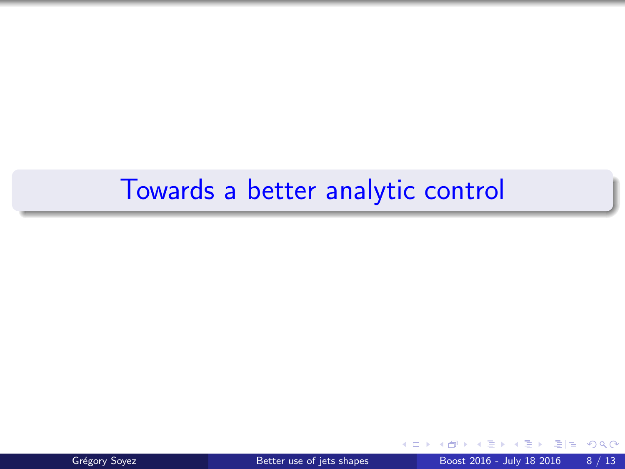# Towards a better analytic control

![](_page_23_Picture_1.jpeg)

 $\leftarrow$ 

 $QQ$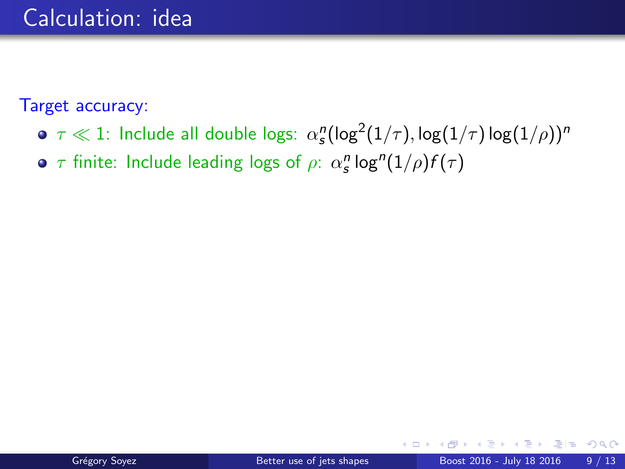Target accuracy:

- $\tau \ll 1$ : Include all double logs:  $\alpha_s^n(\log^2(1/\tau),\log(1/\tau)\log(1/\rho))^n$
- $\tau$  finite: Include leading logs of  $\rho$ :  $\alpha_s^n$  log $^n(1/\rho)f(\tau)$

 $QQQ$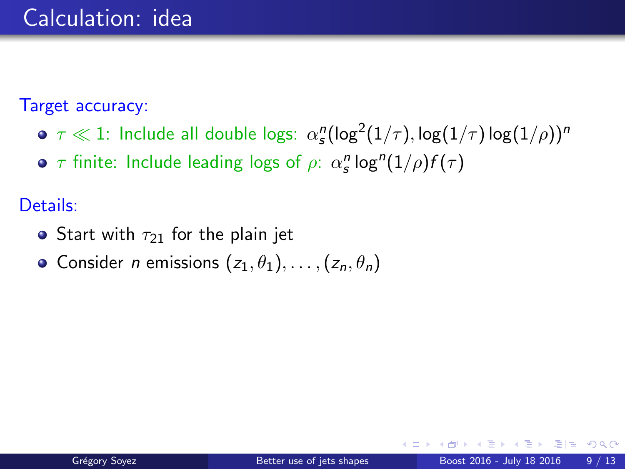Target accuracy:

- $\tau \ll 1$ : Include all double logs:  $\alpha_s^n(\log^2(1/\tau),\log(1/\tau)\log(1/\rho))^n$
- $\tau$  finite: Include leading logs of  $\rho$ :  $\alpha_s^n$  log $^n(1/\rho)f(\tau)$

Details:

- Start with  $\tau_{21}$  for the plain jet
- Consider *n* emissions  $(z_1, \theta_1), \ldots, (z_n, \theta_n)$

= Nar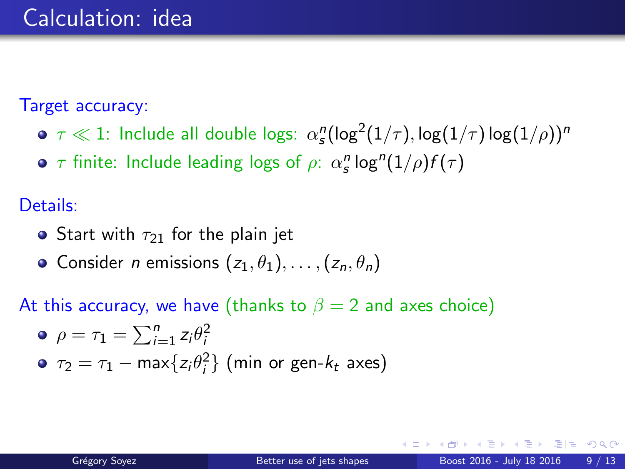Target accuracy:

- $\tau \ll 1$ : Include all double logs:  $\alpha_s^n(\log^2(1/\tau),\log(1/\tau)\log(1/\rho))^n$
- $\tau$  finite: Include leading logs of  $\rho$ :  $\alpha_s^n$  log $^n(1/\rho)f(\tau)$

Details:

- Start with  $\tau_{21}$  for the plain jet
- Consider *n* emissions  $(z_1, \theta_1), \ldots, (z_n, \theta_n)$

At this accuracy, we have (thanks to  $\beta = 2$  and axes choice)

\n- • 
$$
\rho = \tau_1 = \sum_{i=1}^{n} z_i \theta_i^2
$$
\n- •  $\tau_2 = \tau_1 - \max\{z_i \theta_i^2\}$  (min or gen- $k_t$  axes)
\n

 $\Omega$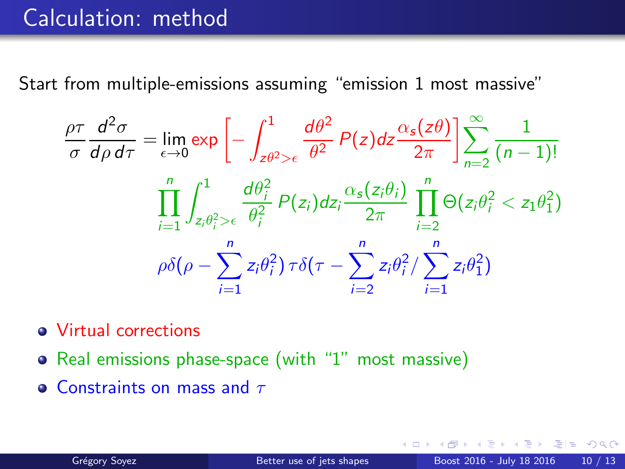# Calculation: method

Start from multiple-emissions assuming "emission 1 most massive"

$$
\frac{\rho\tau}{\sigma}\frac{d^2\sigma}{d\rho d\tau} = \lim_{\epsilon \to 0} \exp\left[-\int_{z\theta^2>\epsilon}^1 \frac{d\theta^2}{\theta^2} P(z)dz \frac{\alpha_s(z\theta)}{2\pi}\right] \sum_{n=2}^\infty \frac{1}{(n-1)!}
$$

$$
\prod_{i=1}^n \int_{z_i\theta_i^2>\epsilon}^1 \frac{d\theta_i^2}{\theta_i^2} P(z_i)dz_i \frac{\alpha_s(z_i\theta_i)}{2\pi} \prod_{i=2}^n \Theta(z_i\theta_i^2 < z_1\theta_1^2)
$$

$$
\rho\delta(\rho - \sum_{i=1}^n z_i\theta_i^2) \tau\delta(\tau - \sum_{i=2}^n z_i\theta_i^2) \sum_{i=1}^n z_i\theta_1^2)
$$

- Virtual corrections
- Real emissions phase-space (with "1" most massive)
- **Constraints on mass and**  $\tau$

 $E|E$  narry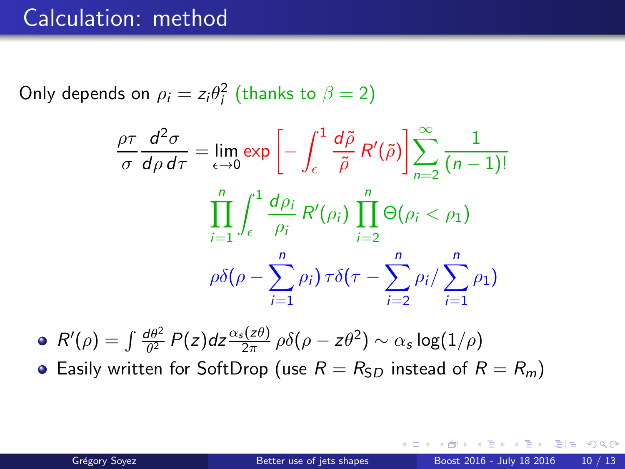### Calculation: method

Only depends on  $\rho_i = z_i \theta_i^2$  (thanks to  $\beta = 2$ )

$$
\frac{\rho\tau}{\sigma}\frac{d^2\sigma}{d\rho d\tau} = \lim_{\epsilon \to 0} \exp\left[-\int_{\epsilon}^{1} \frac{d\tilde{\rho}}{\tilde{\rho}} R'(\tilde{\rho})\right] \sum_{n=2}^{\infty} \frac{1}{(n-1)!}
$$

$$
\prod_{i=1}^{n} \int_{\epsilon}^{1} \frac{d\rho_i}{\rho_i} R'(\rho_i) \prod_{i=2}^{n} \Theta(\rho_i < \rho_1)
$$

$$
\rho \delta(\rho - \sum_{i=1}^{n} \rho_i) \tau \delta(\tau - \sum_{i=2}^{n} \rho_i / \sum_{i=1}^{n} \rho_1)
$$

 $R'(\rho) = \int \frac{d\theta^2}{\theta^2}$  $\frac{d\theta^2}{\theta^2}$   $P(z)$ dz $\frac{\alpha_s(z\theta)}{2\pi}$   $\rho\delta(\rho-z\theta^2)\sim \alpha_s\log(1/\rho)$ **•** Easily written for SoftDrop (use  $R = R_{SD}$  instead of  $R = R_m$ )

 $E|E$   $\Omega$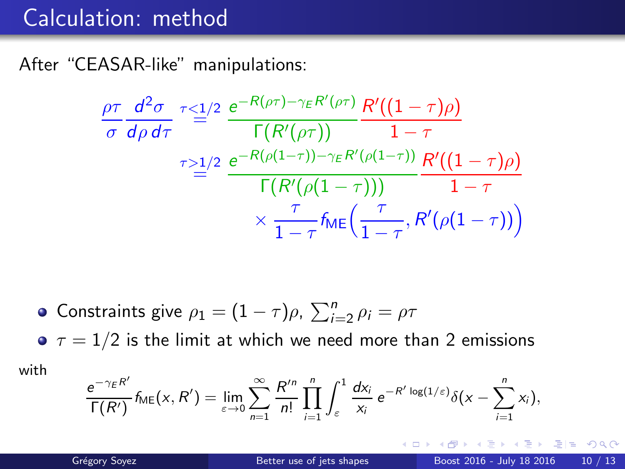# Calculation: method

After "CEASAR-like" manipulations:

$$
\frac{\rho\tau}{\sigma}\frac{d^2\sigma}{d\rho d\tau}\stackrel{\tau\leq 1/2}{=} \frac{e^{-R(\rho\tau)-\gamma_E R'(\rho\tau)}}{\Gamma(R'(\rho\tau))}\frac{R'((1-\tau)\rho)}{1-\tau}
$$
\n
$$
\frac{\tau\geq 1/2}{\Gamma(R'(\rho(1-\tau))-\gamma_E R'(\rho(1-\tau))}\frac{R'((1-\tau)\rho)}{1-\tau}
$$
\n
$$
\times \frac{\tau}{1-\tau}f_{ME}\left(\frac{\tau}{1-\tau},R'(\rho(1-\tau))\right)
$$

• Constraints give 
$$
\rho_1 = (1 - \tau)\rho
$$
,  $\sum_{i=2}^{n} \rho_i = \rho\tau$ 

 $\sigma \tau = 1/2$  is the limit at which we need more than 2 emissions with

$$
\frac{e^{-\gamma_E R'}}{\Gamma(R')}f_{\mathsf{ME}}(x,R')=\lim_{\varepsilon\to 0}\sum_{n=1}^\infty\frac{R'^n}{n!}\prod_{i=1}^n\int_\varepsilon^1\frac{dx_i}{x_i}\,e^{-R'\log(1/\varepsilon)}\delta\big(x-\sum_{i=1}^n x_i\big),
$$

4 D F

重目 のへぐ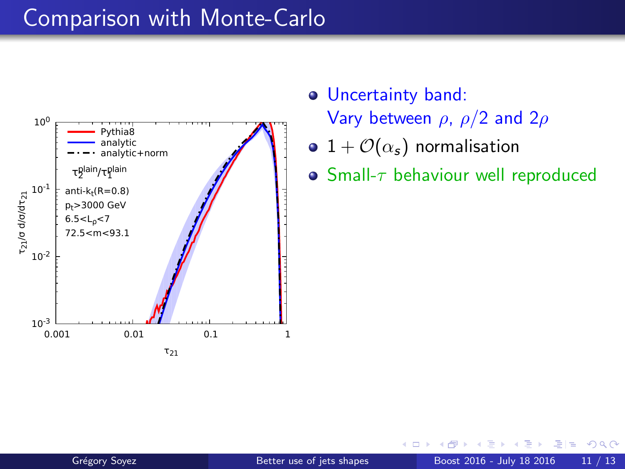![](_page_30_Figure_1.jpeg)

- Uncertainty band: Vary between  $\rho$ ,  $\rho/2$  and  $2\rho$
- 1 +  $\mathcal{O}(\alpha_s)$  normalisation
- $\bullet$  Small- $\tau$  behaviour well reproduced

つへへ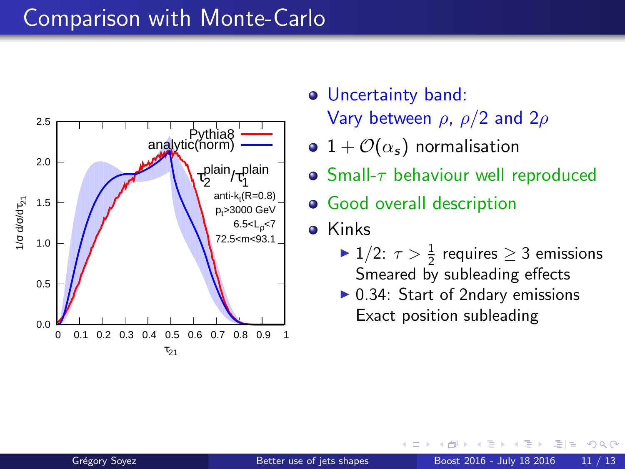![](_page_31_Figure_1.jpeg)

- Uncertainty band: Vary between  $\rho$ ,  $\rho/2$  and  $2\rho$
- $\bullet$  1 +  $\mathcal{O}(\alpha_s)$  normalisation
- Small- $\tau$  behaviour well reproduced
- **•** Good overall description
- **o** Kinks
	- ►  $1/2$ :  $\tau > \frac{1}{2}$  requires  $\geq 3$  emissions Smeared by subleading effects
	- $\triangleright$  0.34: Start of 2ndary emissions Exact position subleading

 $QQ$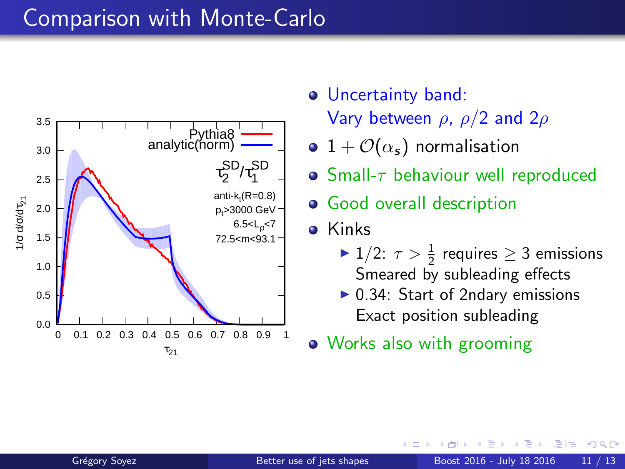![](_page_32_Figure_1.jpeg)

- Uncertainty band: Vary between  $\rho$ ,  $\rho/2$  and  $2\rho$
- $\bullet$  1 +  $\mathcal{O}(\alpha_s)$  normalisation
- $\bullet$  Small- $\tau$  behaviour well reproduced
- **•** Good overall description
- **o** Kinks
	- ►  $1/2$ :  $\tau > \frac{1}{2}$  requires  $\geq 3$  emissions Smeared by subleading effects
	- $\triangleright$  0.34: Start of 2ndary emissions Exact position subleading
- Works also with grooming

つへへ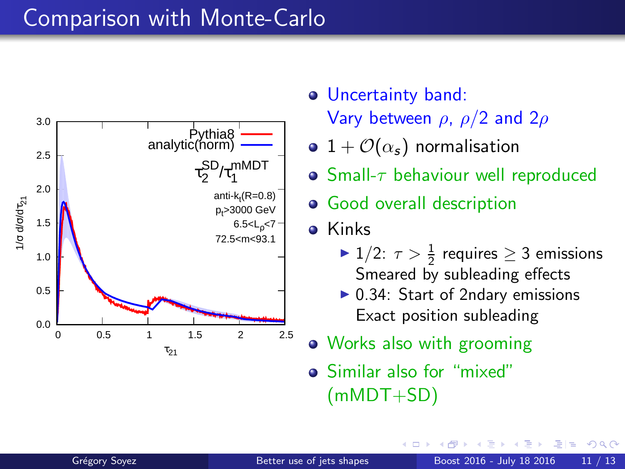![](_page_33_Figure_1.jpeg)

- Uncertainty band: Vary between  $\rho$ ,  $\rho/2$  and  $2\rho$
- $\bullet$  1 +  $\mathcal{O}(\alpha_s)$  normalisation
- Small- $\tau$  behaviour well reproduced
- **•** Good overall description
- **o** Kinks
	- ►  $1/2$ :  $\tau > \frac{1}{2}$  requires  $\geq 3$  emissions Smeared by subleading effects
	- $\triangleright$  0.34: Start of 2ndary emissions Exact position subleading
- Works also with grooming
- Similar also for "mixed" (mMDT+SD)

 $\Omega$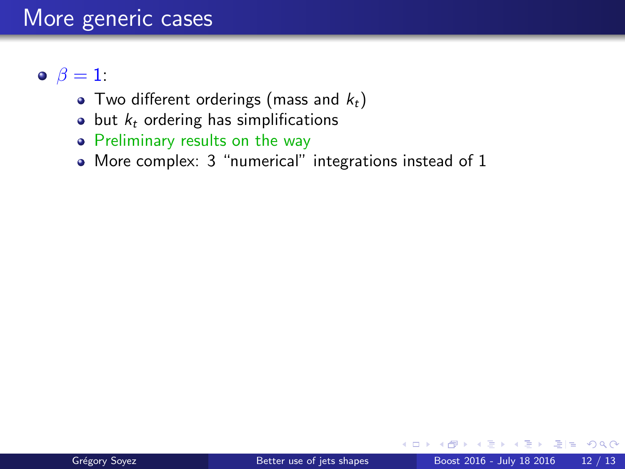#### More generic cases

#### $\bullet$   $\beta = 1$ :

- Two different orderings (mass and  $k_t$ )
- $\bullet$  but  $k_t$  ordering has simplifications
- Preliminary results on the way
- More complex: 3 "numerical" integrations instead of 1

4 **ED** 

 $E|E$  narry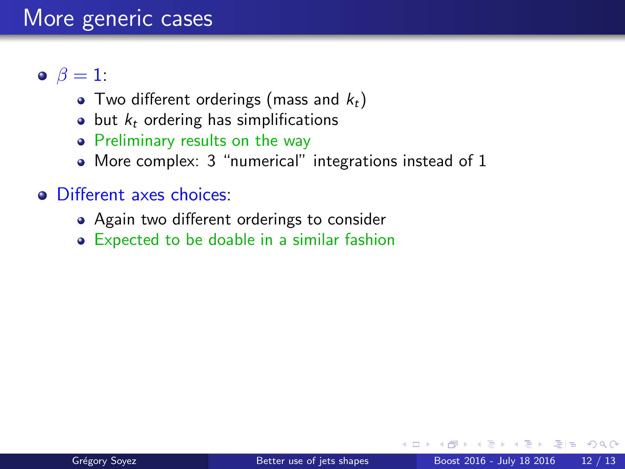#### More generic cases

#### $\bullet$   $\beta = 1$ :

- Two different orderings (mass and  $k_t$ )
- $\bullet$  but  $k_t$  ordering has simplifications
- Preliminary results on the way
- More complex: 3 "numerical" integrations instead of 1

#### • Different axes choices:

- Again two different orderings to consider
- Expected to be doable in a similar fashion

ミミ りすい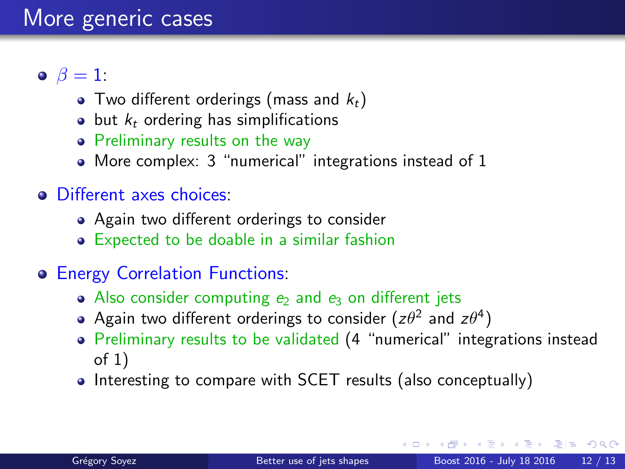#### $\bullet$   $\beta = 1$ :

- Two different orderings (mass and  $k_t$ )
- $\bullet$  but  $k_t$  ordering has simplifications
- Preliminary results on the way
- More complex: 3 "numerical" integrations instead of 1

#### **O** Different axes choices:

- Again two different orderings to consider
- Expected to be doable in a similar fashion

#### Energy Correlation Functions:

- Also consider computing  $e_2$  and  $e_3$  on different jets
- Again two different orderings to consider ( $z\theta^2$  and  $z\theta^4)$
- Preliminary results to be validated (4 "numerical" integrations instead of 1)
- Interesting to compare with SCET results (also conceptually)

 $F = \Omega Q$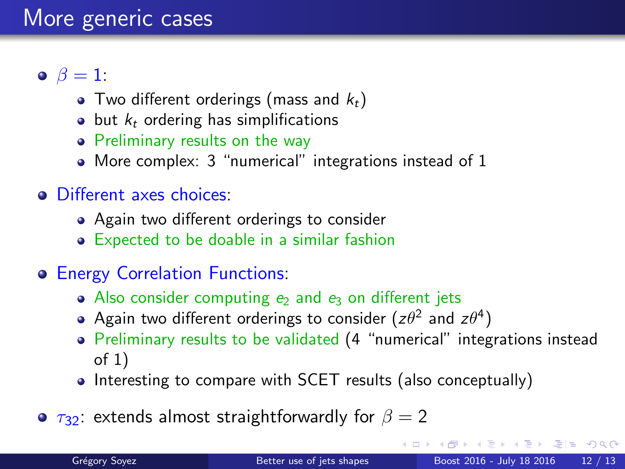#### $\bullet$   $\beta = 1$ :

- Two different orderings (mass and  $k_t$ )
- $\bullet$  but  $k_t$  ordering has simplifications
- Preliminary results on the way
- More complex: 3 "numerical" integrations instead of 1

#### **O** Different axes choices:

- Again two different orderings to consider
- Expected to be doable in a similar fashion

#### Energy Correlation Functions:

- Also consider computing  $e_2$  and  $e_3$  on different jets
- Again two different orderings to consider (z $\theta^2$  and z $\theta^4)$
- Preliminary results to be validated (4 "numerical" integrations instead of 1)
- Interesting to compare with SCET results (also conceptually)
- $\bullet$   $\tau_{32}$ : extends almost straightforwardly for  $\beta = 2$

E H K E H E H A Q O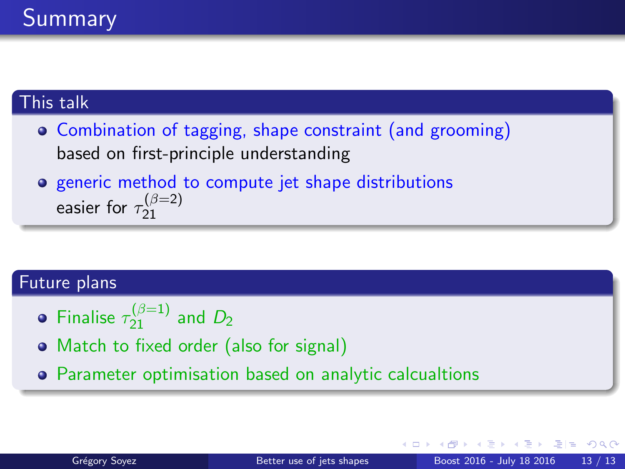#### <span id="page-38-0"></span>This talk

- Combination of tagging, shape constraint (and grooming) based on first-principle understanding
- **•** generic method to compute jet shape distributions easier for  $\tau_{21}^{(\beta=2)}$ 21

#### Future plans

- Finalise  $\tau_{21}^{(\beta=1)}$  and  $D_2$
- Match to fixed order (also for signal)
- Parameter optimisation based on analytic calcualtions

通信 めなべ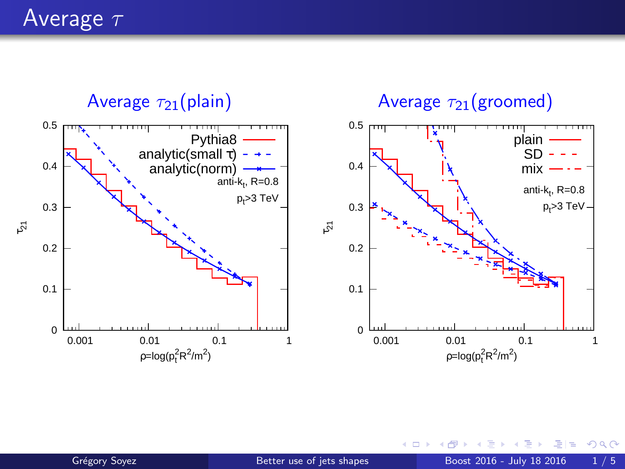<span id="page-39-0"></span>Average  $\tau$ 

![](_page_39_Figure_1.jpeg)

 $\leftarrow$ 

 $290$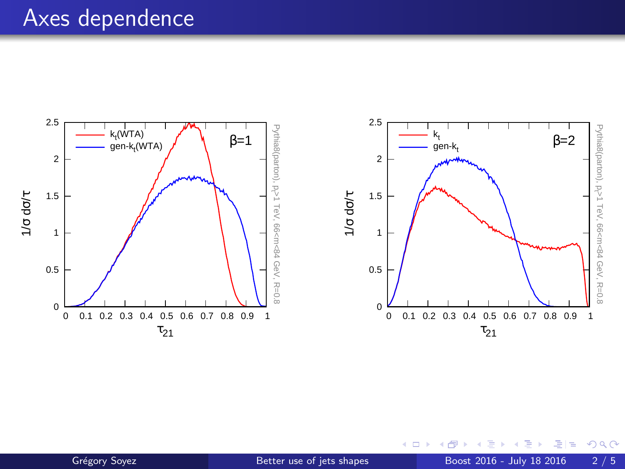#### Axes dependence

![](_page_40_Figure_1.jpeg)

4 0 8

 $2Q$ 

÷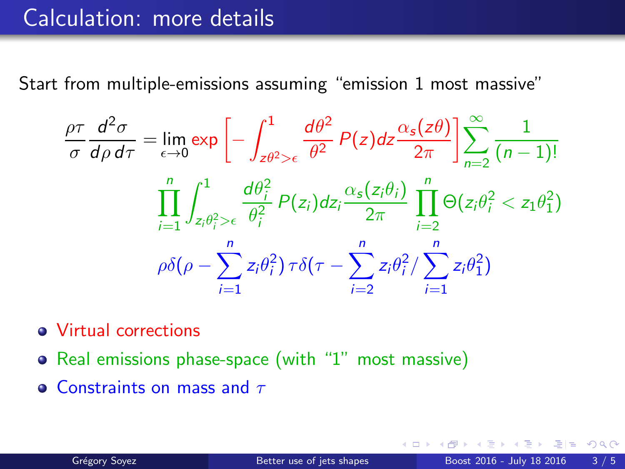Start from multiple-emissions assuming "emission 1 most massive"

$$
\frac{\rho\tau}{\sigma}\frac{d^2\sigma}{d\rho d\tau} = \lim_{\epsilon \to 0} \exp\left[-\int_{z\theta^2>\epsilon}^1 \frac{d\theta^2}{\theta^2} P(z)dz \frac{\alpha_s(z\theta)}{2\pi}\right] \sum_{n=2}^\infty \frac{1}{(n-1)!}
$$

$$
\prod_{i=1}^n \int_{z_i\theta_i^2>\epsilon}^1 \frac{d\theta_i^2}{\theta_i^2} P(z_i)dz_i \frac{\alpha_s(z_i\theta_i)}{2\pi} \prod_{i=2}^n \Theta(z_i\theta_i^2 < z_1\theta_1^2)
$$

$$
\rho\delta(\rho - \sum_{i=1}^n z_i\theta_i^2) \tau\delta(\tau - \sum_{i=2}^n z_i\theta_i^2) \sum_{i=1}^n z_i\theta_1^2)
$$

- Virtual corrections
- Real emissions phase-space (with "1" most massive)
- **Constraints on mass and**  $\tau$

 $= \Omega Q$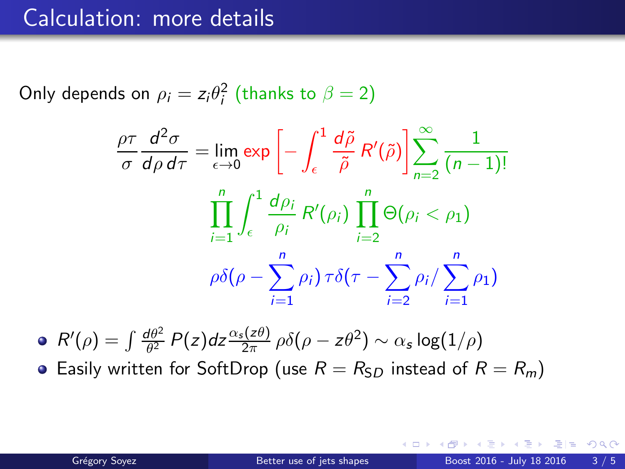Only depends on  $\rho_i = z_i \theta_i^2$  (thanks to  $\beta = 2$ )

$$
\frac{\rho \tau}{\sigma} \frac{d^2 \sigma}{d \rho d \tau} = \lim_{\epsilon \to 0} \exp \left[ - \int_{\epsilon}^{1} \frac{d \tilde{\rho}}{\tilde{\rho}} R'(\tilde{\rho}) \right] \sum_{n=2}^{\infty} \frac{1}{(n-1)!}
$$

$$
\prod_{i=1}^{n} \int_{\epsilon}^{1} \frac{d \rho_i}{\rho_i} R'(\rho_i) \prod_{i=2}^{n} \Theta(\rho_i < \rho_1)
$$

$$
\rho \delta(\rho - \sum_{i=1}^{n} \rho_i) \tau \delta(\tau - \sum_{i=2}^{n} \rho_i / \sum_{i=1}^{n} \rho_1)
$$

 $R'(\rho) = \int \frac{d\theta^2}{\theta^2}$  $\frac{d\theta^2}{\theta^2}$   $P(z)$ dz $\frac{\alpha_s(z\theta)}{2\pi}$   $\rho\delta(\rho-z\theta^2)\sim \alpha_s\log(1/\rho)$ **•** Easily written for SoftDrop (use  $R = R_{SD}$  instead of  $R = R_m$ )

 $= \Omega Q$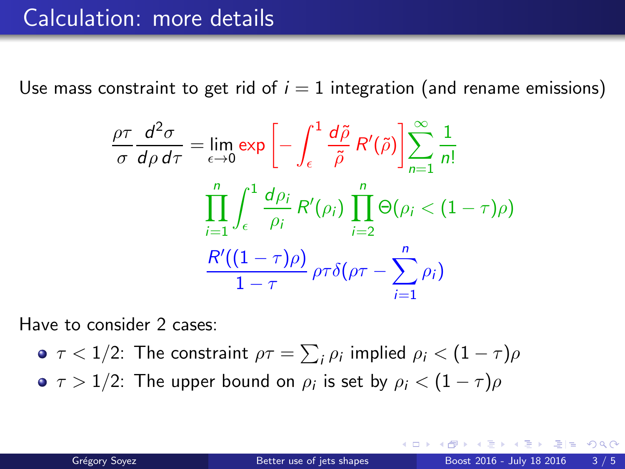Use mass constraint to get rid of  $i = 1$  integration (and rename emissions)

$$
\frac{\rho \tau}{\sigma} \frac{d^2 \sigma}{d \rho d \tau} = \lim_{\epsilon \to 0} \exp \left[ - \int_{\epsilon}^{1} \frac{d \tilde{\rho}}{\tilde{\rho}} R'(\tilde{\rho}) \right] \sum_{n=1}^{\infty} \frac{1}{n!}
$$

$$
\prod_{i=1}^{n} \int_{\epsilon}^{1} \frac{d \rho_i}{\rho_i} R'(\rho_i) \prod_{i=2}^{n} \Theta(\rho_i < (1 - \tau)\rho)
$$

$$
\frac{R'((1 - \tau)\rho)}{1 - \tau} \rho \tau \delta(\rho \tau - \sum_{i=1}^{n} \rho_i)
$$

Have to consider 2 cases:

- $\tau < 1/2$ : The constraint  $\rho\tau = \sum_i \rho_i$  implied  $\rho_i < (1-\tau)\rho$
- $\tau > 1/2$ : The upper bound on  $\rho_i$  is set by  $\rho_i < (1-\tau)\rho$

 $=$  920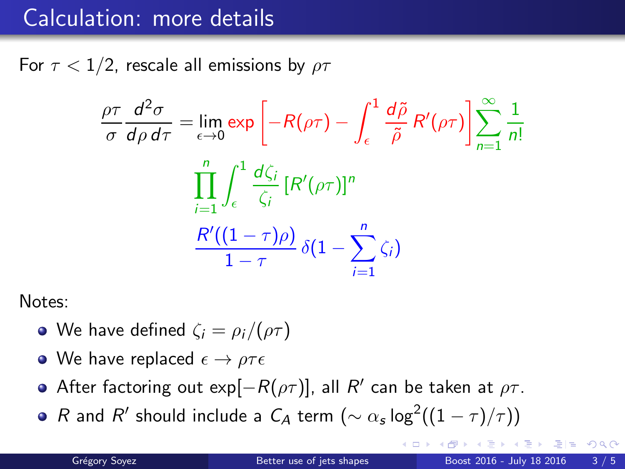For  $\tau$  < 1/2, rescale all emissions by  $\rho\tau$ 

$$
\frac{\rho \tau}{\sigma} \frac{d^2 \sigma}{d \rho d \tau} = \lim_{\epsilon \to 0} \exp \left[ -R(\rho \tau) - \int_{\epsilon}^{1} \frac{d \tilde{\rho}}{\tilde{\rho}} R'(\rho \tau) \right] \sum_{n=1}^{\infty} \frac{1}{n!}
$$

$$
\prod_{i=1}^{n} \int_{\epsilon}^{1} \frac{d \zeta_i}{\zeta_i} [R'(\rho \tau)]^n
$$

$$
\frac{R'((1-\tau)\rho)}{1-\tau} \delta(1-\sum_{i=1}^{n} \zeta_i)
$$

Notes:

- We have defined  $\zeta_i = \rho_i/(\rho \tau)$
- We have replaced  $\epsilon \to \rho \tau \epsilon$
- After factoring out  $\exp[-R(\rho\tau)]$ , all  $R'$  can be taken at  $\rho\tau$ .
- $R$  and  $R'$  should include a  $C_A$  term  $(\sim \alpha_s \log^2((1-\tau)/\tau))$

 $298$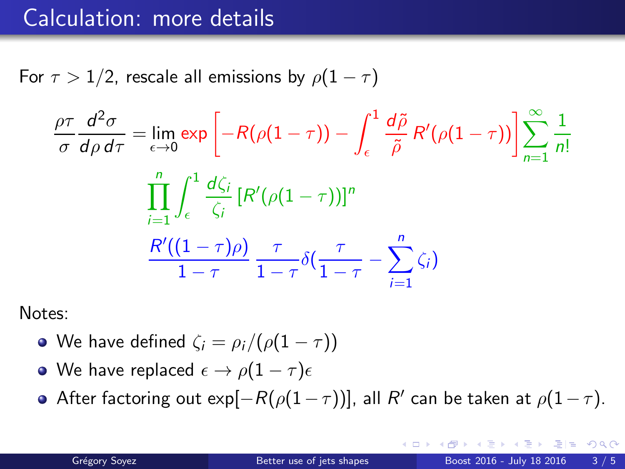For  $\tau > 1/2$ , rescale all emissions by  $\rho(1 - \tau)$ 

$$
\frac{\rho\tau}{\sigma}\frac{d^2\sigma}{d\rho d\tau} = \lim_{\epsilon \to 0} \exp\left[-R(\rho(1-\tau)) - \int_{\epsilon}^{1} \frac{d\tilde{\rho}}{\tilde{\rho}} R'(\rho(1-\tau))\right] \sum_{n=1}^{\infty} \frac{1}{n!}
$$

$$
\prod_{i=1}^{n} \int_{\epsilon}^{1} \frac{d\zeta_i}{\zeta_i} [R'(\rho(1-\tau))]^n
$$

$$
\frac{R'((1-\tau)\rho)}{1-\tau} \frac{\tau}{1-\tau} \delta(\frac{\tau}{1-\tau} - \sum_{i=1}^{n} \zeta_i)
$$

Notes:

- We have defined  $\zeta_i = \rho_i/(\rho(1-\tau))$
- We have replaced  $\epsilon \to \rho(1-\tau)\epsilon$
- After factoring out exp $[-R(\rho(1-\tau))]$ , all  $R'$  can be taken at  $\rho(1-\tau)$ .

重目 のへぐ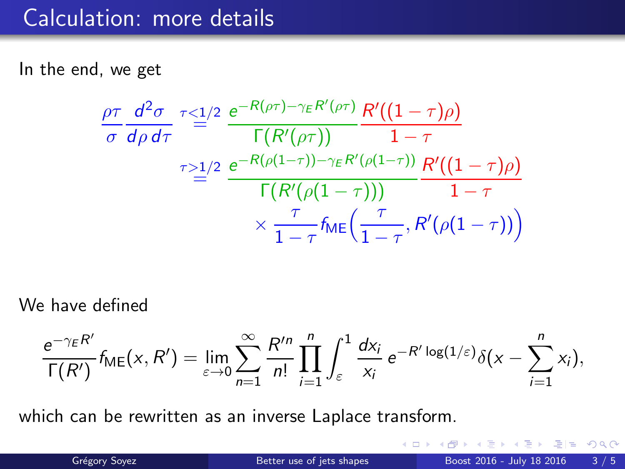In the end, we get

$$
\frac{\rho\tau}{\sigma}\frac{d^2\sigma}{d\rho d\tau}\stackrel{\tau\leq 1/2}{=} \frac{e^{-R(\rho\tau)-\gamma_E R'(\rho\tau)}}{\Gamma(R'(\rho\tau))}\frac{R'((1-\tau)\rho)}{1-\tau}
$$
\n
$$
\stackrel{\tau\geq 1/2}{=} \frac{e^{-R(\rho(1-\tau))-\gamma_E R'(\rho(1-\tau))}}{\Gamma(R'(\rho(1-\tau)))}\frac{R'((1-\tau)\rho)}{1-\tau}
$$
\n
$$
\times \frac{\tau}{1-\tau}f_{ME}\left(\frac{\tau}{1-\tau},R'(\rho(1-\tau))\right)
$$

We have defined

$$
\frac{e^{-\gamma_E R'}}{\Gamma(R')} f_{\mathsf{ME}}(x,R') = \lim_{\varepsilon \to 0} \sum_{n=1}^{\infty} \frac{R'^n}{n!} \prod_{i=1}^n \int_{\varepsilon}^1 \frac{dx_i}{x_i} e^{-R' \log(1/\varepsilon)} \delta(x - \sum_{i=1}^n x_i),
$$

which can be rewritten as an inverse Laplace transform.

4 D F

 $= \Omega Q$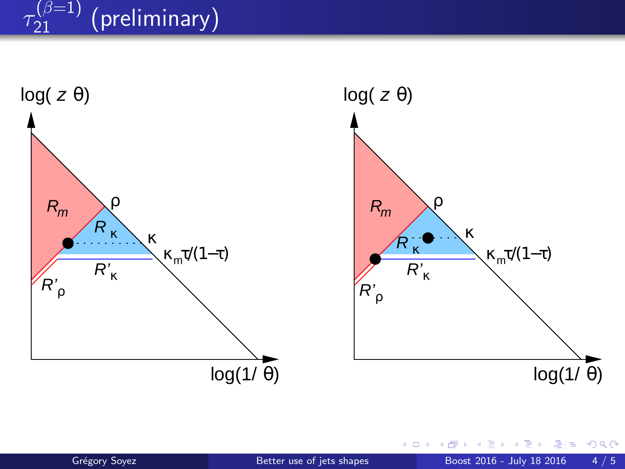#### $\tau_{21}$  $\frac{(\beta=1)}{21}$  (preliminary)

![](_page_47_Figure_1.jpeg)

×.

重目 のへぐ

4 D F